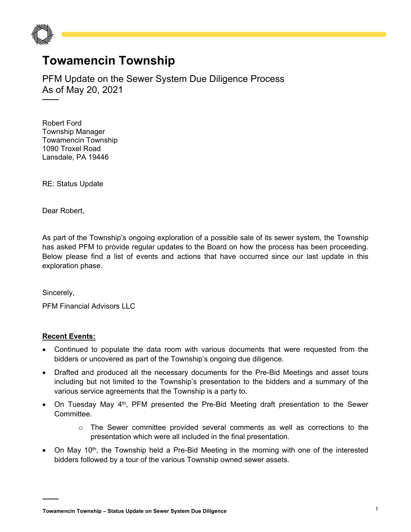

## **Towamencin Township**

PFM Update on the Sewer System Due Diligence Process As of May 20, 2021

Robert Ford Township Manager Towamencin Township 1090 Troxel Road Lansdale, PA 19446

RE: Status Update

Dear Robert,

As part of the Township's ongoing exploration of a possible sale of its sewer system, the Township has asked PFM to provide regular updates to the Board on how the process has been proceeding. Below please find a list of events and actions that have occurred since our last update in this exploration phase.

Sincerely,

PFM Financial Advisors LLC

## **Recent Events:**

- Continued to populate the data room with various documents that were requested from the bidders or uncovered as part of the Township's ongoing due diligence.
- Drafted and produced all the necessary documents for the Pre-Bid Meetings and asset tours including but not limited to the Township's presentation to the bidders and a summary of the various service agreements that the Township is a party to.
- On Tuesday May  $4<sup>th</sup>$ , PFM presented the Pre-Bid Meeting draft presentation to the Sewer Committee.
	- $\circ$  The Sewer committee provided several comments as well as corrections to the presentation which were all included in the final presentation.
- On May 10<sup>th</sup>, the Township held a Pre-Bid Meeting in the morning with one of the interested bidders followed by a tour of the various Township owned sewer assets.